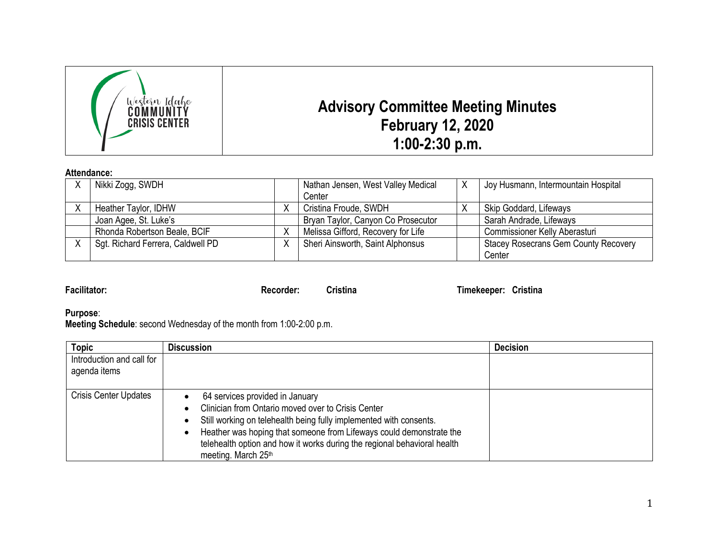

## **Attendance:**

| Nikki Zogg, SWDH                  |   | Nathan Jensen, West Valley Medical |  | Joy Husmann, Intermountain Hospital         |
|-----------------------------------|---|------------------------------------|--|---------------------------------------------|
|                                   |   | Center                             |  |                                             |
| Heather Taylor, IDHW              |   | Cristina Froude, SWDH              |  | Skip Goddard, Lifeways                      |
| Joan Agee, St. Luke's             |   | Bryan Taylor, Canyon Co Prosecutor |  | Sarah Andrade, Lifeways                     |
| Rhonda Robertson Beale, BCIF      | ⋏ | Melissa Gifford, Recovery for Life |  | <b>Commissioner Kelly Aberasturi</b>        |
| Sgt. Richard Ferrera, Caldwell PD | Χ | Sheri Ainsworth, Saint Alphonsus   |  | <b>Stacey Rosecrans Gem County Recovery</b> |
|                                   |   |                                    |  | Center                                      |

**Facilitator: Recorder: Cristina Timekeeper: Cristina**

**Purpose**:

**Meeting Schedule**: second Wednesday of the month from 1:00-2:00 p.m.

| <b>Topic</b>                              | <b>Discussion</b>                                                                                                                                                                                                                                                                                                                                  | <b>Decision</b> |
|-------------------------------------------|----------------------------------------------------------------------------------------------------------------------------------------------------------------------------------------------------------------------------------------------------------------------------------------------------------------------------------------------------|-----------------|
| Introduction and call for<br>agenda items |                                                                                                                                                                                                                                                                                                                                                    |                 |
| <b>Crisis Center Updates</b>              | 64 services provided in January<br>Clinician from Ontario moved over to Crisis Center<br>Still working on telehealth being fully implemented with consents.<br>$\bullet$<br>Heather was hoping that someone from Lifeways could demonstrate the<br>telehealth option and how it works during the regional behavioral health<br>meeting. March 25th |                 |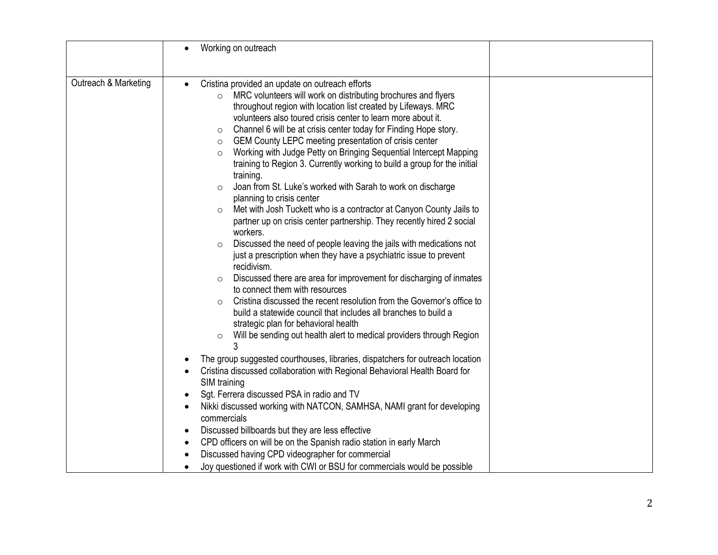|                      | Working on outreach<br>$\bullet$                                                                                                                                                                                                                                                                                                                                                                                                                                                                                                                                                                                                                                                                                                                                                                                                                                                                                                                                                                                                                                                                                                                                                                                                                                                                                                                                                                                                                                                                                                                                                                                                                                                                                              |  |
|----------------------|-------------------------------------------------------------------------------------------------------------------------------------------------------------------------------------------------------------------------------------------------------------------------------------------------------------------------------------------------------------------------------------------------------------------------------------------------------------------------------------------------------------------------------------------------------------------------------------------------------------------------------------------------------------------------------------------------------------------------------------------------------------------------------------------------------------------------------------------------------------------------------------------------------------------------------------------------------------------------------------------------------------------------------------------------------------------------------------------------------------------------------------------------------------------------------------------------------------------------------------------------------------------------------------------------------------------------------------------------------------------------------------------------------------------------------------------------------------------------------------------------------------------------------------------------------------------------------------------------------------------------------------------------------------------------------------------------------------------------------|--|
| Outreach & Marketing | Cristina provided an update on outreach efforts<br>$\bullet$<br>MRC volunteers will work on distributing brochures and flyers<br>$\circ$<br>throughout region with location list created by Lifeways. MRC<br>volunteers also toured crisis center to learn more about it.<br>Channel 6 will be at crisis center today for Finding Hope story.<br>$\circ$<br>GEM County LEPC meeting presentation of crisis center<br>$\circ$<br>Working with Judge Petty on Bringing Sequential Intercept Mapping<br>$\circ$<br>training to Region 3. Currently working to build a group for the initial<br>training.<br>Joan from St. Luke's worked with Sarah to work on discharge<br>$\circ$<br>planning to crisis center<br>Met with Josh Tuckett who is a contractor at Canyon County Jails to<br>$\circ$<br>partner up on crisis center partnership. They recently hired 2 social<br>workers.<br>Discussed the need of people leaving the jails with medications not<br>$\circ$<br>just a prescription when they have a psychiatric issue to prevent<br>recidivism.<br>Discussed there are area for improvement for discharging of inmates<br>$\circ$<br>to connect them with resources<br>Cristina discussed the recent resolution from the Governor's office to<br>$\Omega$<br>build a statewide council that includes all branches to build a<br>strategic plan for behavioral health<br>Will be sending out health alert to medical providers through Region<br>$\circ$<br>ঽ<br>The group suggested courthouses, libraries, dispatchers for outreach location<br>Cristina discussed collaboration with Regional Behavioral Health Board for<br>$\bullet$<br>SIM training<br>Sgt. Ferrera discussed PSA in radio and TV<br>$\bullet$ |  |
|                      | Nikki discussed working with NATCON, SAMHSA, NAMI grant for developing<br>$\bullet$<br>commercials<br>Discussed billboards but they are less effective<br>$\bullet$                                                                                                                                                                                                                                                                                                                                                                                                                                                                                                                                                                                                                                                                                                                                                                                                                                                                                                                                                                                                                                                                                                                                                                                                                                                                                                                                                                                                                                                                                                                                                           |  |
|                      | CPD officers on will be on the Spanish radio station in early March<br>$\bullet$<br>Discussed having CPD videographer for commercial<br>$\bullet$<br>Joy questioned if work with CWI or BSU for commercials would be possible<br>$\bullet$                                                                                                                                                                                                                                                                                                                                                                                                                                                                                                                                                                                                                                                                                                                                                                                                                                                                                                                                                                                                                                                                                                                                                                                                                                                                                                                                                                                                                                                                                    |  |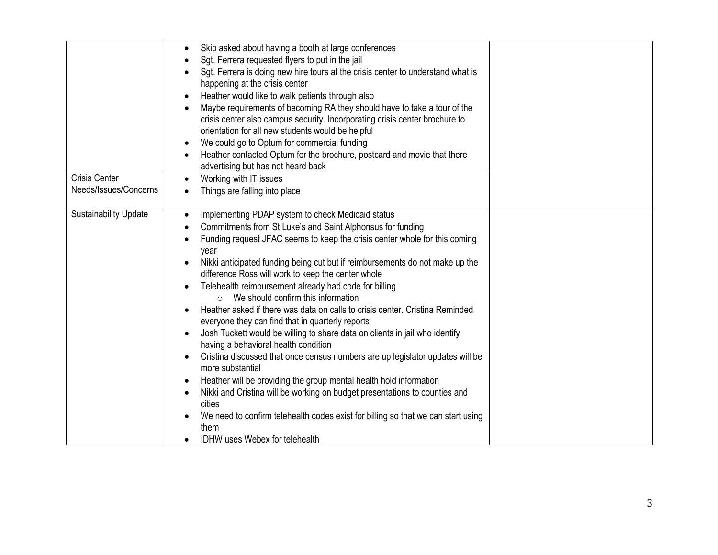|                              | Skip asked about having a booth at large conferences<br>$\bullet$<br>Sgt. Ferrera requested flyers to put in the jail<br>Sgt. Ferrera is doing new hire tours at the crisis center to understand what is<br>happening at the crisis center<br>Heather would like to walk patients through also<br>$\bullet$<br>Maybe requirements of becoming RA they should have to take a tour of the<br>crisis center also campus security. Incorporating crisis center brochure to<br>orientation for all new students would be helpful<br>We could go to Optum for commercial funding<br>$\bullet$<br>Heather contacted Optum for the brochure, postcard and movie that there<br>$\bullet$<br>advertising but has not heard back                                                                                                                                                                                                                                                                                                                                                                                                                                                                                     |  |
|------------------------------|-----------------------------------------------------------------------------------------------------------------------------------------------------------------------------------------------------------------------------------------------------------------------------------------------------------------------------------------------------------------------------------------------------------------------------------------------------------------------------------------------------------------------------------------------------------------------------------------------------------------------------------------------------------------------------------------------------------------------------------------------------------------------------------------------------------------------------------------------------------------------------------------------------------------------------------------------------------------------------------------------------------------------------------------------------------------------------------------------------------------------------------------------------------------------------------------------------------|--|
| <b>Crisis Center</b>         | Working with IT issues<br>$\bullet$                                                                                                                                                                                                                                                                                                                                                                                                                                                                                                                                                                                                                                                                                                                                                                                                                                                                                                                                                                                                                                                                                                                                                                       |  |
| Needs/Issues/Concerns        | Things are falling into place                                                                                                                                                                                                                                                                                                                                                                                                                                                                                                                                                                                                                                                                                                                                                                                                                                                                                                                                                                                                                                                                                                                                                                             |  |
| <b>Sustainability Update</b> | Implementing PDAP system to check Medicaid status<br>$\bullet$<br>Commitments from St Luke's and Saint Alphonsus for funding<br>$\bullet$<br>Funding request JFAC seems to keep the crisis center whole for this coming<br>$\bullet$<br>year<br>Nikki anticipated funding being cut but if reimbursements do not make up the<br>difference Ross will work to keep the center whole<br>Telehealth reimbursement already had code for billing<br>$\bullet$<br>$\circ$ We should confirm this information<br>Heather asked if there was data on calls to crisis center. Cristina Reminded<br>everyone they can find that in quarterly reports<br>Josh Tuckett would be willing to share data on clients in jail who identify<br>having a behavioral health condition<br>Cristina discussed that once census numbers are up legislator updates will be<br>$\bullet$<br>more substantial<br>Heather will be providing the group mental health hold information<br>$\bullet$<br>Nikki and Cristina will be working on budget presentations to counties and<br>$\bullet$<br>cities<br>We need to confirm telehealth codes exist for billing so that we can start using<br>them<br>IDHW uses Webex for telehealth |  |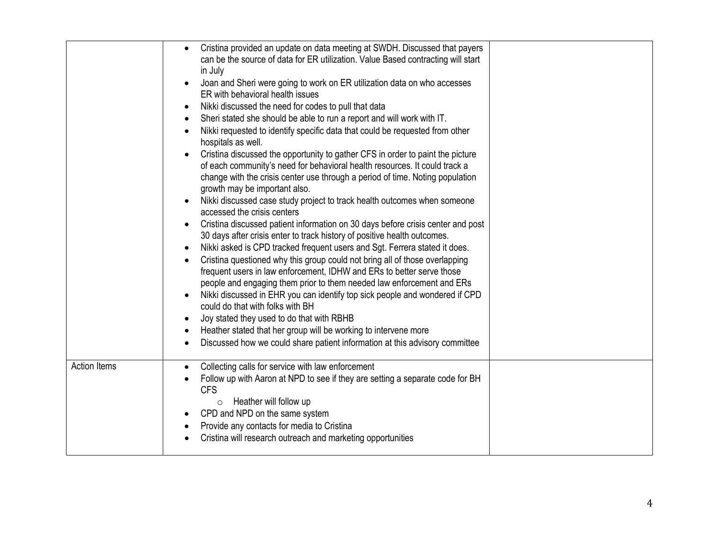|                     | Cristina provided an update on data meeting at SWDH. Discussed that payers<br>can be the source of data for ER utilization. Value Based contracting will start<br>in July<br>Joan and Sheri were going to work on ER utilization data on who accesses |  |
|---------------------|-------------------------------------------------------------------------------------------------------------------------------------------------------------------------------------------------------------------------------------------------------|--|
|                     | ER with behavioral health issues                                                                                                                                                                                                                      |  |
|                     | Nikki discussed the need for codes to pull that data<br>$\bullet$                                                                                                                                                                                     |  |
|                     | Sheri stated she should be able to run a report and will work with IT.<br>$\bullet$                                                                                                                                                                   |  |
|                     | Nikki requested to identify specific data that could be requested from other<br>$\bullet$<br>hospitals as well.                                                                                                                                       |  |
|                     | Cristina discussed the opportunity to gather CFS in order to paint the picture                                                                                                                                                                        |  |
|                     | of each community's need for behavioral health resources. It could track a                                                                                                                                                                            |  |
|                     | change with the crisis center use through a period of time. Noting population<br>growth may be important also.                                                                                                                                        |  |
|                     | Nikki discussed case study project to track health outcomes when someone<br>$\bullet$<br>accessed the crisis centers                                                                                                                                  |  |
|                     | Cristina discussed patient information on 30 days before crisis center and post<br>$\bullet$<br>30 days after crisis enter to track history of positive health outcomes.                                                                              |  |
|                     | Nikki asked is CPD tracked frequent users and Sgt. Ferrera stated it does.<br>$\bullet$                                                                                                                                                               |  |
|                     | Cristina questioned why this group could not bring all of those overlapping<br>frequent users in law enforcement, IDHW and ERs to better serve those                                                                                                  |  |
|                     | people and engaging them prior to them needed law enforcement and ERs                                                                                                                                                                                 |  |
|                     | Nikki discussed in EHR you can identify top sick people and wondered if CPD<br>$\bullet$<br>could do that with folks with BH                                                                                                                          |  |
|                     | Joy stated they used to do that with RBHB<br>$\bullet$                                                                                                                                                                                                |  |
|                     | Heather stated that her group will be working to intervene more<br>$\bullet$                                                                                                                                                                          |  |
|                     | Discussed how we could share patient information at this advisory committee<br>$\bullet$                                                                                                                                                              |  |
| <b>Action Items</b> | Collecting calls for service with law enforcement<br>$\bullet$                                                                                                                                                                                        |  |
|                     | Follow up with Aaron at NPD to see if they are setting a separate code for BH<br><b>CFS</b>                                                                                                                                                           |  |
|                     | Heather will follow up<br>$\circ$                                                                                                                                                                                                                     |  |
|                     | CPD and NPD on the same system<br>$\bullet$                                                                                                                                                                                                           |  |
|                     | Provide any contacts for media to Cristina<br>$\bullet$                                                                                                                                                                                               |  |
|                     | Cristina will research outreach and marketing opportunities                                                                                                                                                                                           |  |